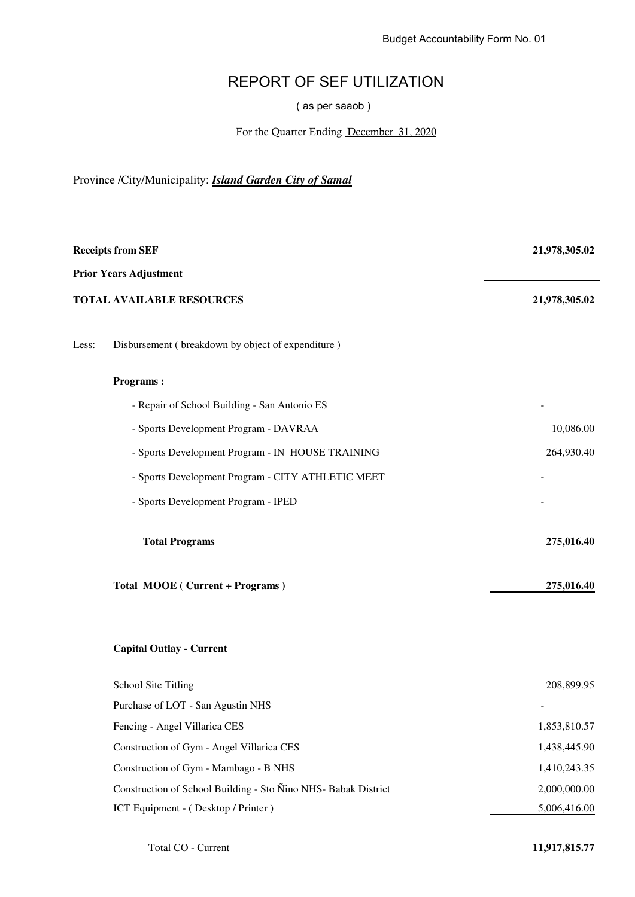## REPORT OF SEF UTILIZATION

( as per saaob )

For the Quarter Ending December 31, 2020

Province /City/Municipality: *Island Garden City of Samal*

| <b>Receipts from SEF</b>         |                                                                | 21,978,305.02 |
|----------------------------------|----------------------------------------------------------------|---------------|
|                                  | <b>Prior Years Adjustment</b>                                  |               |
| <b>TOTAL AVAILABLE RESOURCES</b> |                                                                | 21,978,305.02 |
| Less:                            | Disbursement (breakdown by object of expenditure)              |               |
|                                  | <b>Programs:</b>                                               |               |
|                                  | - Repair of School Building - San Antonio ES                   |               |
|                                  | - Sports Development Program - DAVRAA                          | 10,086.00     |
|                                  | - Sports Development Program - IN HOUSE TRAINING               | 264,930.40    |
|                                  | - Sports Development Program - CITY ATHLETIC MEET              |               |
|                                  | - Sports Development Program - IPED                            |               |
|                                  | <b>Total Programs</b>                                          | 275,016.40    |
|                                  | Total MOOE (Current + Programs)                                | 275,016.40    |
|                                  | <b>Capital Outlay - Current</b>                                |               |
|                                  | <b>School Site Titling</b>                                     | 208,899.95    |
|                                  | Purchase of LOT - San Agustin NHS                              |               |
|                                  | Fencing - Angel Villarica CES                                  | 1,853,810.57  |
|                                  | Construction of Gym - Angel Villarica CES                      | 1,438,445.90  |
|                                  | Construction of Gym - Mambago - B NHS                          | 1,410,243.35  |
|                                  | Construction of School Building - Sto Nino NHS- Babak District | 2,000,000.00  |
|                                  | ICT Equipment - (Desktop / Printer)                            | 5,006,416.00  |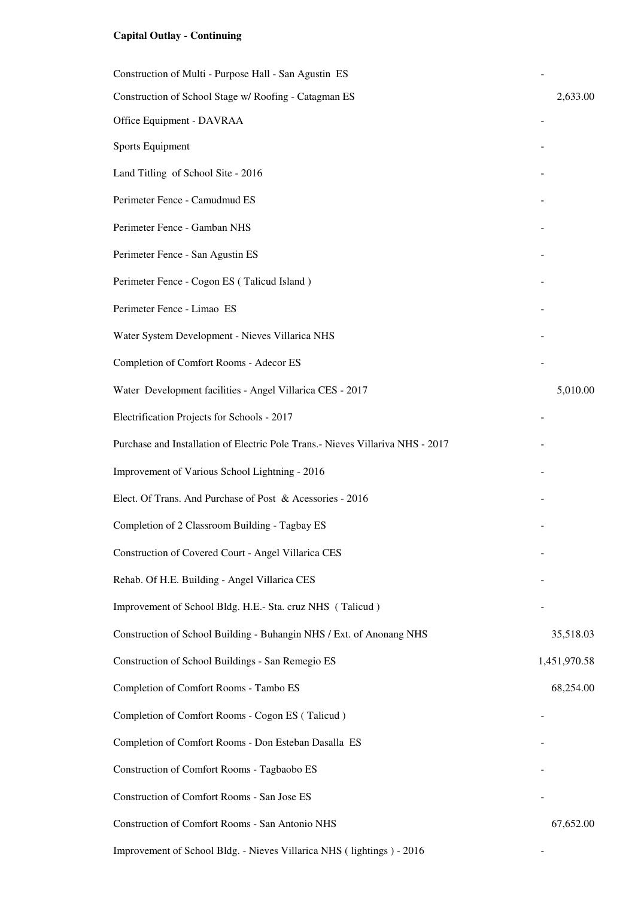## **Capital Outlay - Continuing**

| Construction of Multi - Purpose Hall - San Agustin ES                          |              |
|--------------------------------------------------------------------------------|--------------|
| Construction of School Stage w/ Roofing - Catagman ES                          | 2,633.00     |
| Office Equipment - DAVRAA                                                      |              |
| Sports Equipment                                                               |              |
| Land Titling of School Site - 2016                                             |              |
| Perimeter Fence - Camudmud ES                                                  |              |
| Perimeter Fence - Gamban NHS                                                   |              |
| Perimeter Fence - San Agustin ES                                               |              |
| Perimeter Fence - Cogon ES (Talicud Island)                                    |              |
| Perimeter Fence - Limao ES                                                     |              |
| Water System Development - Nieves Villarica NHS                                |              |
| Completion of Comfort Rooms - Adecor ES                                        |              |
| Water Development facilities - Angel Villarica CES - 2017                      | 5,010.00     |
| Electrification Projects for Schools - 2017                                    |              |
| Purchase and Installation of Electric Pole Trans.- Nieves Villariva NHS - 2017 |              |
| Improvement of Various School Lightning - 2016                                 |              |
| Elect. Of Trans. And Purchase of Post & Acessories - 2016                      |              |
| Completion of 2 Classroom Building - Tagbay ES                                 |              |
| Construction of Covered Court - Angel Villarica CES                            |              |
| Rehab. Of H.E. Building - Angel Villarica CES                                  |              |
| Improvement of School Bldg. H.E.- Sta. cruz NHS (Talicud)                      |              |
| Construction of School Building - Buhangin NHS / Ext. of Anonang NHS           | 35,518.03    |
| Construction of School Buildings - San Remegio ES                              | 1,451,970.58 |
| Completion of Comfort Rooms - Tambo ES                                         | 68,254.00    |
| Completion of Comfort Rooms - Cogon ES (Talicud)                               |              |
| Completion of Comfort Rooms - Don Esteban Dasalla ES                           |              |
| Construction of Comfort Rooms - Tagbaobo ES                                    |              |
| Construction of Comfort Rooms - San Jose ES                                    |              |
| Construction of Comfort Rooms - San Antonio NHS                                | 67,652.00    |
| Improvement of School Bldg. - Nieves Villarica NHS (lightings) - 2016          |              |